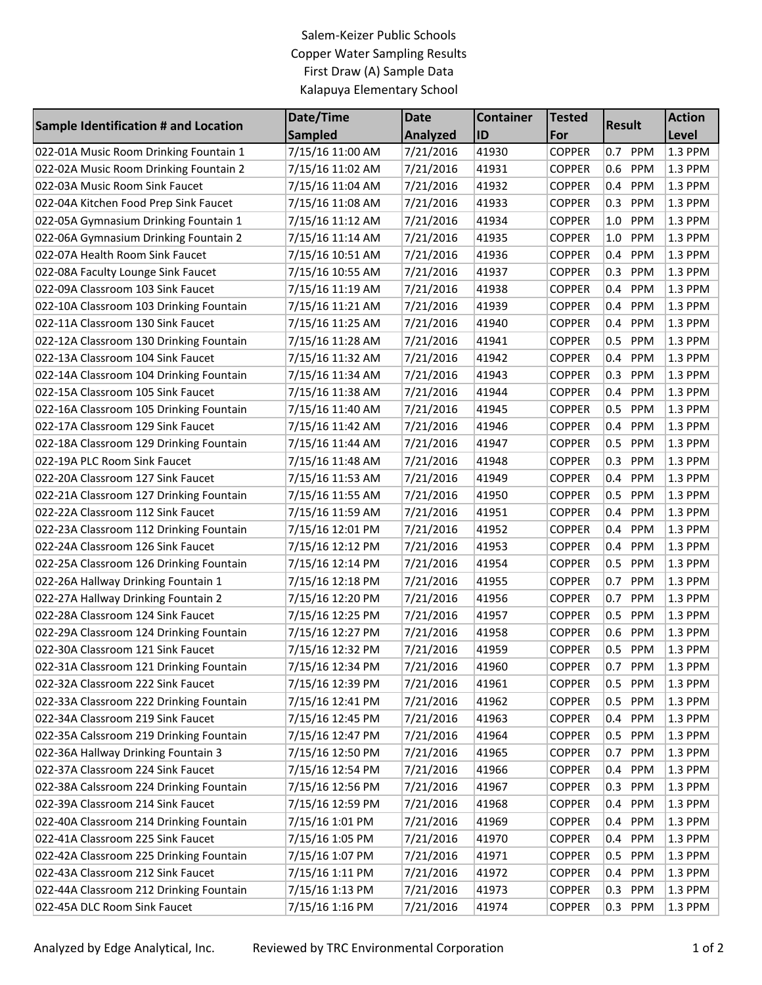## Salem-Keizer Public Schools Copper Water Sampling Results First Draw (A) Sample Data Kalapuya Elementary School

| Sample Identification # and Location    | Date/Time<br><b>Sampled</b> | <b>Date</b><br><b>Analyzed</b> | <b>Container</b><br>ID | <b>Tested</b><br>For | <b>Result</b>         | <b>Action</b> |
|-----------------------------------------|-----------------------------|--------------------------------|------------------------|----------------------|-----------------------|---------------|
|                                         |                             |                                |                        |                      |                       | Level         |
| 022-01A Music Room Drinking Fountain 1  | 7/15/16 11:00 AM            | 7/21/2016                      | 41930                  | <b>COPPER</b>        | 0.7 PPM               | 1.3 PPM       |
| 022-02A Music Room Drinking Fountain 2  | 7/15/16 11:02 AM            | 7/21/2016                      | 41931                  | <b>COPPER</b>        | PPM<br>0.6            | 1.3 PPM       |
| 022-03A Music Room Sink Faucet          | 7/15/16 11:04 AM            | 7/21/2016                      | 41932                  | <b>COPPER</b>        | PPM<br>0.4            | 1.3 PPM       |
| 022-04A Kitchen Food Prep Sink Faucet   | 7/15/16 11:08 AM            | 7/21/2016                      | 41933                  | <b>COPPER</b>        | PPM<br>0.3            | 1.3 PPM       |
| 022-05A Gymnasium Drinking Fountain 1   | 7/15/16 11:12 AM            | 7/21/2016                      | 41934                  | <b>COPPER</b>        | PPM<br>1.0            | 1.3 PPM       |
| 022-06A Gymnasium Drinking Fountain 2   | 7/15/16 11:14 AM            | 7/21/2016                      | 41935                  | <b>COPPER</b>        | 1.0<br><b>PPM</b>     | 1.3 PPM       |
| 022-07A Health Room Sink Faucet         | 7/15/16 10:51 AM            | 7/21/2016                      | 41936                  | <b>COPPER</b>        | PPM<br>0.4            | 1.3 PPM       |
| 022-08A Faculty Lounge Sink Faucet      | 7/15/16 10:55 AM            | 7/21/2016                      | 41937                  | <b>COPPER</b>        | <b>PPM</b><br>0.3     | 1.3 PPM       |
| 022-09A Classroom 103 Sink Faucet       | 7/15/16 11:19 AM            | 7/21/2016                      | 41938                  | <b>COPPER</b>        | PPM<br>0.4            | 1.3 PPM       |
| 022-10A Classroom 103 Drinking Fountain | 7/15/16 11:21 AM            | 7/21/2016                      | 41939                  | <b>COPPER</b>        | 0.4<br>PPM            | 1.3 PPM       |
| 022-11A Classroom 130 Sink Faucet       | 7/15/16 11:25 AM            | 7/21/2016                      | 41940                  | <b>COPPER</b>        | PPM<br>$0.4\,$        | 1.3 PPM       |
| 022-12A Classroom 130 Drinking Fountain | 7/15/16 11:28 AM            | 7/21/2016                      | 41941                  | <b>COPPER</b>        | PPM<br>0.5            | 1.3 PPM       |
| 022-13A Classroom 104 Sink Faucet       | 7/15/16 11:32 AM            | 7/21/2016                      | 41942                  | <b>COPPER</b>        | <b>PPM</b><br>0.4     | 1.3 PPM       |
| 022-14A Classroom 104 Drinking Fountain | 7/15/16 11:34 AM            | 7/21/2016                      | 41943                  | <b>COPPER</b>        | PPM<br>0.3            | 1.3 PPM       |
| 022-15A Classroom 105 Sink Faucet       | 7/15/16 11:38 AM            | 7/21/2016                      | 41944                  | <b>COPPER</b>        | PPM<br>0.4            | 1.3 PPM       |
| 022-16A Classroom 105 Drinking Fountain | 7/15/16 11:40 AM            | 7/21/2016                      | 41945                  | <b>COPPER</b>        | 0.5<br>PPM            | 1.3 PPM       |
| 022-17A Classroom 129 Sink Faucet       | 7/15/16 11:42 AM            | 7/21/2016                      | 41946                  | <b>COPPER</b>        | 0.4<br>PPM            | 1.3 PPM       |
| 022-18A Classroom 129 Drinking Fountain | 7/15/16 11:44 AM            | 7/21/2016                      | 41947                  | <b>COPPER</b>        | PPM<br>0.5            | 1.3 PPM       |
| 022-19A PLC Room Sink Faucet            | 7/15/16 11:48 AM            | 7/21/2016                      | 41948                  | <b>COPPER</b>        | PPM<br>0.3            | 1.3 PPM       |
| 022-20A Classroom 127 Sink Faucet       | 7/15/16 11:53 AM            | 7/21/2016                      | 41949                  | <b>COPPER</b>        | PPM<br>0.4            | 1.3 PPM       |
| 022-21A Classroom 127 Drinking Fountain | 7/15/16 11:55 AM            | 7/21/2016                      | 41950                  | <b>COPPER</b>        | <b>PPM</b><br>0.5     | 1.3 PPM       |
| 022-22A Classroom 112 Sink Faucet       | 7/15/16 11:59 AM            | 7/21/2016                      | 41951                  | <b>COPPER</b>        | PPM<br>0.4            | 1.3 PPM       |
| 022-23A Classroom 112 Drinking Fountain | 7/15/16 12:01 PM            | 7/21/2016                      | 41952                  | <b>COPPER</b>        | <b>PPM</b><br>0.4     | 1.3 PPM       |
| 022-24A Classroom 126 Sink Faucet       | 7/15/16 12:12 PM            | 7/21/2016                      | 41953                  | <b>COPPER</b>        | PPM<br>0.4            | 1.3 PPM       |
| 022-25A Classroom 126 Drinking Fountain | 7/15/16 12:14 PM            | 7/21/2016                      | 41954                  | <b>COPPER</b>        | PPM<br>0.5            | 1.3 PPM       |
| 022-26A Hallway Drinking Fountain 1     | 7/15/16 12:18 PM            | 7/21/2016                      | 41955                  | <b>COPPER</b>        | <b>PPM</b><br>0.7     | 1.3 PPM       |
| 022-27A Hallway Drinking Fountain 2     | 7/15/16 12:20 PM            | 7/21/2016                      | 41956                  | <b>COPPER</b>        | PPM<br>0.7            | 1.3 PPM       |
| 022-28A Classroom 124 Sink Faucet       | 7/15/16 12:25 PM            | 7/21/2016                      | 41957                  | <b>COPPER</b>        | PPM<br>0.5            | 1.3 PPM       |
| 022-29A Classroom 124 Drinking Fountain | 7/15/16 12:27 PM            | 7/21/2016                      | 41958                  | <b>COPPER</b>        | PPM<br>0.6            | 1.3 PPM       |
| 022-30A Classroom 121 Sink Faucet       | 7/15/16 12:32 PM            | 7/21/2016                      | 41959                  | <b>COPPER</b>        | 0.5 PPM               | 1.3 PPM       |
| 022-31A Classroom 121 Drinking Fountain | 7/15/16 12:34 PM            | 7/21/2016                      | 41960                  | <b>COPPER</b>        | 0.7 PPM               | 1.3 PPM       |
| 022-32A Classroom 222 Sink Faucet       | 7/15/16 12:39 PM            | 7/21/2016                      | 41961                  | <b>COPPER</b>        | <b>PPM</b><br>0.5     | 1.3 PPM       |
| 022-33A Classroom 222 Drinking Fountain | 7/15/16 12:41 PM            | 7/21/2016                      | 41962                  | <b>COPPER</b>        | <b>PPM</b><br>$0.5\,$ | 1.3 PPM       |
| 022-34A Classroom 219 Sink Faucet       | 7/15/16 12:45 PM            | 7/21/2016                      | 41963                  | <b>COPPER</b>        | PPM<br>0.4            | 1.3 PPM       |
| 022-35A Calssroom 219 Drinking Fountain | 7/15/16 12:47 PM            | 7/21/2016                      | 41964                  | <b>COPPER</b>        | 0.5 PPM               | 1.3 PPM       |
| 022-36A Hallway Drinking Fountain 3     | 7/15/16 12:50 PM            | 7/21/2016                      | 41965                  | <b>COPPER</b>        | <b>PPM</b><br>0.7     | 1.3 PPM       |
| 022-37A Classroom 224 Sink Faucet       | 7/15/16 12:54 PM            | 7/21/2016                      | 41966                  | <b>COPPER</b>        | 0.4 PPM               | 1.3 PPM       |
| 022-38A Calssroom 224 Drinking Fountain | 7/15/16 12:56 PM            | 7/21/2016                      | 41967                  | <b>COPPER</b>        | PPM<br>0.3            | 1.3 PPM       |
| 022-39A Classroom 214 Sink Faucet       | 7/15/16 12:59 PM            | 7/21/2016                      | 41968                  | <b>COPPER</b>        | PPM<br>0.4            | 1.3 PPM       |
| 022-40A Classroom 214 Drinking Fountain | 7/15/16 1:01 PM             | 7/21/2016                      | 41969                  | <b>COPPER</b>        | PPM<br>0.4            | 1.3 PPM       |
| 022-41A Classroom 225 Sink Faucet       | 7/15/16 1:05 PM             | 7/21/2016                      | 41970                  | <b>COPPER</b>        | <b>PPM</b><br>0.4     | 1.3 PPM       |
| 022-42A Classroom 225 Drinking Fountain | 7/15/16 1:07 PM             | 7/21/2016                      | 41971                  | <b>COPPER</b>        | PPM<br>0.5            | 1.3 PPM       |
| 022-43A Classroom 212 Sink Faucet       | 7/15/16 1:11 PM             | 7/21/2016                      | 41972                  | <b>COPPER</b>        | <b>PPM</b><br>0.4     | 1.3 PPM       |
| 022-44A Classroom 212 Drinking Fountain | 7/15/16 1:13 PM             | 7/21/2016                      | 41973                  | <b>COPPER</b>        | PPM<br>0.3            | 1.3 PPM       |
| 022-45A DLC Room Sink Faucet            | 7/15/16 1:16 PM             | 7/21/2016                      | 41974                  | <b>COPPER</b>        | PPM<br>0.3            | 1.3 PPM       |